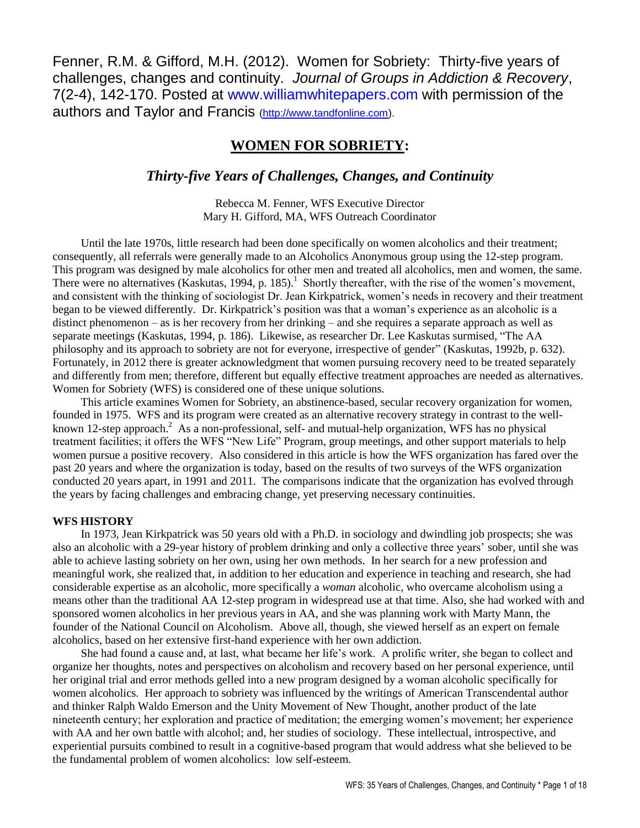Fenner, R.M. & Gifford, M.H. (2012). Women for Sobriety: Thirty-five years of challenges, changes and continuity. *Journal of Groups in Addiction & Recovery*, 7(2-4), 142-170. Posted at [www.williamwhitepapers.com](http://www.williamwhitepapers.com/) with permission of the authors and Taylor and Francis [\(http://www.tandfonline.com\)](http://www.tandfonline.com/).

# **WOMEN FOR SOBRIETY:**

# *Thirty-five Years of Challenges, Changes, and Continuity*

Rebecca M. Fenner, WFS Executive Director Mary H. Gifford, MA, WFS Outreach Coordinator

Until the late 1970s, little research had been done specifically on women alcoholics and their treatment; consequently, all referrals were generally made to an Alcoholics Anonymous group using the 12-step program. This program was designed by male alcoholics for other men and treated all alcoholics, men and women, the same. There were no alternatives (Kaskutas, 1994, p. 185).<sup>1</sup> Shortly thereafter, with the rise of the women's movement, and consistent with the thinking of sociologist Dr. Jean Kirkpatrick, women's needs in recovery and their treatment began to be viewed differently. Dr. Kirkpatrick's position was that a woman's experience as an alcoholic is a distinct phenomenon – as is her recovery from her drinking – and she requires a separate approach as well as separate meetings (Kaskutas, 1994, p. 186). Likewise, as researcher Dr. Lee Kaskutas surmised, "The AA philosophy and its approach to sobriety are not for everyone, irrespective of gender" (Kaskutas, 1992b, p. 632). Fortunately, in 2012 there is greater acknowledgment that women pursuing recovery need to be treated separately and differently from men; therefore, different but equally effective treatment approaches are needed as alternatives. Women for Sobriety (WFS) is considered one of these unique solutions.

This article examines Women for Sobriety, an abstinence-based, secular recovery organization for women, founded in 1975. WFS and its program were created as an alternative recovery strategy in contrast to the wellknown 12-step approach.<sup>2</sup> As a non-professional, self- and mutual-help organization, WFS has no physical treatment facilities; it offers the WFS "New Life" Program, group meetings, and other support materials to help women pursue a positive recovery. Also considered in this article is how the WFS organization has fared over the past 20 years and where the organization is today, based on the results of two surveys of the WFS organization conducted 20 years apart, in 1991 and 2011. The comparisons indicate that the organization has evolved through the years by facing challenges and embracing change, yet preserving necessary continuities.

### **WFS HISTORY**

In 1973, Jean Kirkpatrick was 50 years old with a Ph.D. in sociology and dwindling job prospects; she was also an alcoholic with a 29-year history of problem drinking and only a collective three years' sober, until she was able to achieve lasting sobriety on her own, using her own methods. In her search for a new profession and meaningful work, she realized that, in addition to her education and experience in teaching and research, she had considerable expertise as an alcoholic, more specifically a *woman* alcoholic, who overcame alcoholism using a means other than the traditional AA 12-step program in widespread use at that time. Also, she had worked with and sponsored women alcoholics in her previous years in AA, and she was planning work with Marty Mann, the founder of the National Council on Alcoholism. Above all, though, she viewed herself as an expert on female alcoholics, based on her extensive first-hand experience with her own addiction.

She had found a cause and, at last, what became her life's work. A prolific writer, she began to collect and organize her thoughts, notes and perspectives on alcoholism and recovery based on her personal experience, until her original trial and error methods gelled into a new program designed by a woman alcoholic specifically for women alcoholics. Her approach to sobriety was influenced by the writings of American Transcendental author and thinker Ralph Waldo Emerson and the Unity Movement of New Thought, another product of the late nineteenth century; her exploration and practice of meditation; the emerging women's movement; her experience with AA and her own battle with alcohol; and, her studies of sociology. These intellectual, introspective, and experiential pursuits combined to result in a cognitive-based program that would address what she believed to be the fundamental problem of women alcoholics: low self-esteem.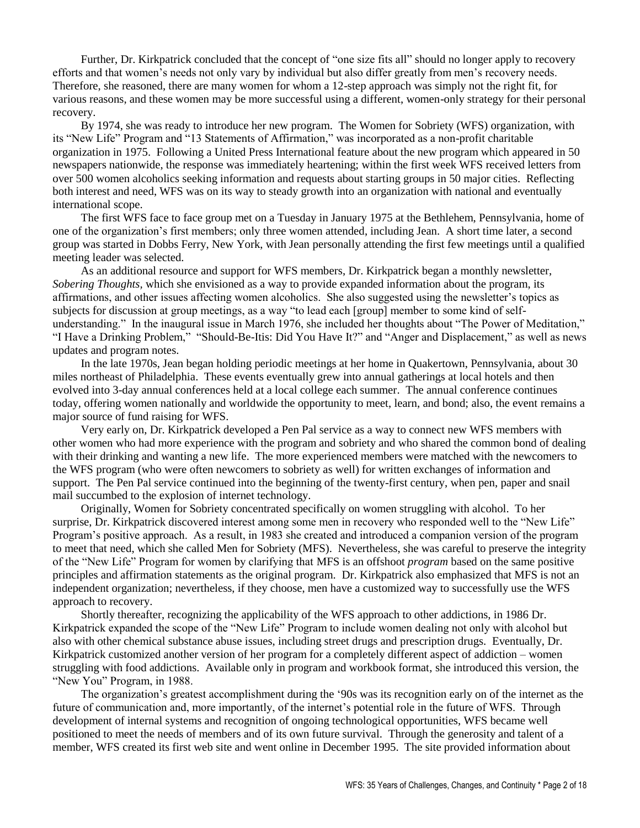Further, Dr. Kirkpatrick concluded that the concept of "one size fits all" should no longer apply to recovery efforts and that women's needs not only vary by individual but also differ greatly from men's recovery needs. Therefore, she reasoned, there are many women for whom a 12-step approach was simply not the right fit, for various reasons, and these women may be more successful using a different, women-only strategy for their personal recovery.

By 1974, she was ready to introduce her new program. The Women for Sobriety (WFS) organization, with its "New Life" Program and "13 Statements of Affirmation," was incorporated as a non-profit charitable organization in 1975. Following a United Press International feature about the new program which appeared in 50 newspapers nationwide, the response was immediately heartening; within the first week WFS received letters from over 500 women alcoholics seeking information and requests about starting groups in 50 major cities. Reflecting both interest and need, WFS was on its way to steady growth into an organization with national and eventually international scope.

The first WFS face to face group met on a Tuesday in January 1975 at the Bethlehem, Pennsylvania, home of one of the organization's first members; only three women attended, including Jean. A short time later, a second group was started in Dobbs Ferry, New York, with Jean personally attending the first few meetings until a qualified meeting leader was selected.

As an additional resource and support for WFS members, Dr. Kirkpatrick began a monthly newsletter, *Sobering Thoughts,* which she envisioned as a way to provide expanded information about the program, its affirmations, and other issues affecting women alcoholics. She also suggested using the newsletter's topics as subjects for discussion at group meetings, as a way "to lead each [group] member to some kind of selfunderstanding." In the inaugural issue in March 1976, she included her thoughts about "The Power of Meditation," "I Have a Drinking Problem," "Should-Be-Itis: Did You Have It?" and "Anger and Displacement," as well as news updates and program notes.

In the late 1970s, Jean began holding periodic meetings at her home in Quakertown, Pennsylvania, about 30 miles northeast of Philadelphia. These events eventually grew into annual gatherings at local hotels and then evolved into 3-day annual conferences held at a local college each summer. The annual conference continues today, offering women nationally and worldwide the opportunity to meet, learn, and bond; also, the event remains a major source of fund raising for WFS.

Very early on, Dr. Kirkpatrick developed a Pen Pal service as a way to connect new WFS members with other women who had more experience with the program and sobriety and who shared the common bond of dealing with their drinking and wanting a new life. The more experienced members were matched with the newcomers to the WFS program (who were often newcomers to sobriety as well) for written exchanges of information and support. The Pen Pal service continued into the beginning of the twenty-first century, when pen, paper and snail mail succumbed to the explosion of internet technology.

Originally, Women for Sobriety concentrated specifically on women struggling with alcohol. To her surprise, Dr. Kirkpatrick discovered interest among some men in recovery who responded well to the "New Life" Program's positive approach. As a result, in 1983 she created and introduced a companion version of the program to meet that need, which she called Men for Sobriety (MFS). Nevertheless, she was careful to preserve the integrity of the "New Life" Program for women by clarifying that MFS is an offshoot *program* based on the same positive principles and affirmation statements as the original program. Dr. Kirkpatrick also emphasized that MFS is not an independent organization; nevertheless, if they choose, men have a customized way to successfully use the WFS approach to recovery.

Shortly thereafter, recognizing the applicability of the WFS approach to other addictions, in 1986 Dr. Kirkpatrick expanded the scope of the "New Life" Program to include women dealing not only with alcohol but also with other chemical substance abuse issues, including street drugs and prescription drugs. Eventually, Dr. Kirkpatrick customized another version of her program for a completely different aspect of addiction – women struggling with food addictions. Available only in program and workbook format, she introduced this version, the "New You" Program, in 1988.

The organization's greatest accomplishment during the '90s was its recognition early on of the internet as the future of communication and, more importantly, of the internet's potential role in the future of WFS. Through development of internal systems and recognition of ongoing technological opportunities, WFS became well positioned to meet the needs of members and of its own future survival. Through the generosity and talent of a member, WFS created its first web site and went online in December 1995. The site provided information about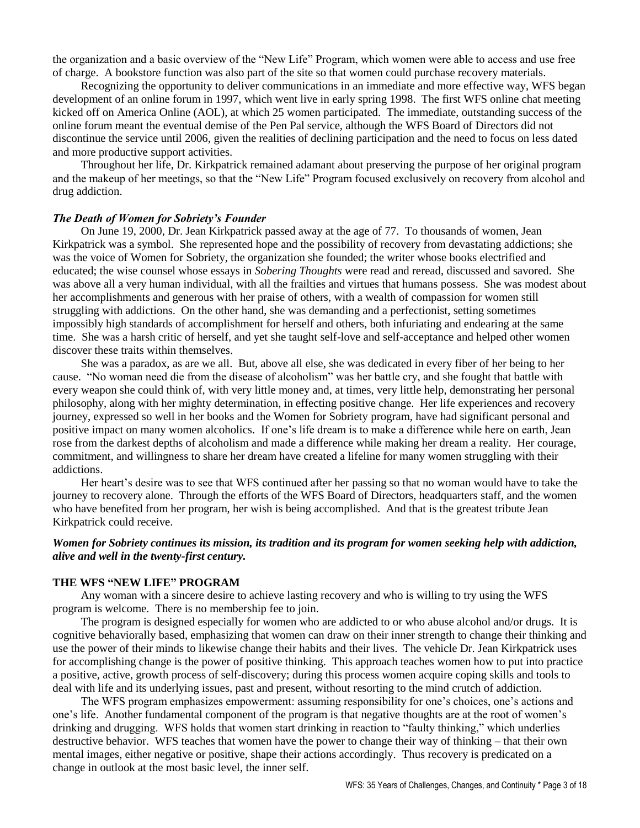the organization and a basic overview of the "New Life" Program, which women were able to access and use free of charge. A bookstore function was also part of the site so that women could purchase recovery materials.

Recognizing the opportunity to deliver communications in an immediate and more effective way, WFS began development of an online forum in 1997, which went live in early spring 1998. The first WFS online chat meeting kicked off on America Online (AOL), at which 25 women participated. The immediate, outstanding success of the online forum meant the eventual demise of the Pen Pal service, although the WFS Board of Directors did not discontinue the service until 2006, given the realities of declining participation and the need to focus on less dated and more productive support activities.

Throughout her life, Dr. Kirkpatrick remained adamant about preserving the purpose of her original program and the makeup of her meetings, so that the "New Life" Program focused exclusively on recovery from alcohol and drug addiction.

#### *The Death of Women for Sobriety's Founder*

On June 19, 2000, Dr. Jean Kirkpatrick passed away at the age of 77. To thousands of women, Jean Kirkpatrick was a symbol. She represented hope and the possibility of recovery from devastating addictions; she was the voice of Women for Sobriety, the organization she founded; the writer whose books electrified and educated; the wise counsel whose essays in *Sobering Thoughts* were read and reread, discussed and savored. She was above all a very human individual, with all the frailties and virtues that humans possess. She was modest about her accomplishments and generous with her praise of others, with a wealth of compassion for women still struggling with addictions. On the other hand, she was demanding and a perfectionist, setting sometimes impossibly high standards of accomplishment for herself and others, both infuriating and endearing at the same time. She was a harsh critic of herself, and yet she taught self-love and self-acceptance and helped other women discover these traits within themselves.

She was a paradox, as are we all. But, above all else, she was dedicated in every fiber of her being to her cause. "No woman need die from the disease of alcoholism" was her battle cry, and she fought that battle with every weapon she could think of, with very little money and, at times, very little help, demonstrating her personal philosophy, along with her mighty determination, in effecting positive change. Her life experiences and recovery journey, expressed so well in her books and the Women for Sobriety program, have had significant personal and positive impact on many women alcoholics. If one's life dream is to make a difference while here on earth, Jean rose from the darkest depths of alcoholism and made a difference while making her dream a reality. Her courage, commitment, and willingness to share her dream have created a lifeline for many women struggling with their addictions.

Her heart's desire was to see that WFS continued after her passing so that no woman would have to take the journey to recovery alone. Through the efforts of the WFS Board of Directors, headquarters staff, and the women who have benefited from her program, her wish is being accomplished.And that is the greatest tribute Jean Kirkpatrick could receive.

### *Women for Sobriety continues its mission, its tradition and its program for women seeking help with addiction, alive and well in the twenty-first century.*

### **THE WFS "NEW LIFE" PROGRAM**

Any woman with a sincere desire to achieve lasting recovery and who is willing to try using the WFS program is welcome. There is no membership fee to join.

The program is designed especially for women who are addicted to or who abuse alcohol and/or drugs. It is cognitive behaviorally based, emphasizing that women can draw on their inner strength to change their thinking and use the power of their minds to likewise change their habits and their lives. The vehicle Dr. Jean Kirkpatrick uses for accomplishing change is the power of positive thinking. This approach teaches women how to put into practice a positive, active, growth process of self-discovery; during this process women acquire coping skills and tools to deal with life and its underlying issues, past and present, without resorting to the mind crutch of addiction.

The WFS program emphasizes empowerment: assuming responsibility for one's choices, one's actions and one's life. Another fundamental component of the program is that negative thoughts are at the root of women's drinking and drugging. WFS holds that women start drinking in reaction to "faulty thinking," which underlies destructive behavior. WFS teaches that women have the power to change their way of thinking – that their own mental images, either negative or positive, shape their actions accordingly. Thus recovery is predicated on a change in outlook at the most basic level, the inner self.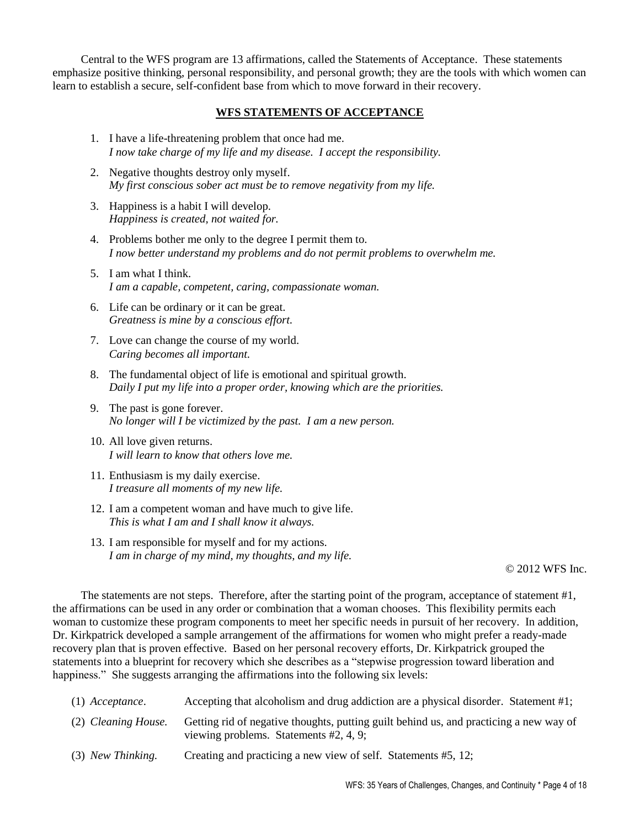Central to the WFS program are 13 affirmations, called the Statements of Acceptance. These statements emphasize positive thinking, personal responsibility, and personal growth; they are the tools with which women can learn to establish a secure, self-confident base from which to move forward in their recovery.

# **WFS STATEMENTS OF ACCEPTANCE**

- 1. I have a life-threatening problem that once had me. *I now take charge of my life and my disease. I accept the responsibility.*
- 2. Negative thoughts destroy only myself. *My first conscious sober act must be to remove negativity from my life.*
- 3. Happiness is a habit I will develop. *Happiness is created, not waited for.*
- 4. Problems bother me only to the degree I permit them to. *I now better understand my problems and do not permit problems to overwhelm me.*
- 5. I am what I think. *I am a capable, competent, caring, compassionate woman.*
- 6. Life can be ordinary or it can be great. *Greatness is mine by a conscious effort.*
- 7. Love can change the course of my world. *Caring becomes all important.*
- 8. The fundamental object of life is emotional and spiritual growth. *Daily I put my life into a proper order, knowing which are the priorities.*
- 9. The past is gone forever. *No longer will I be victimized by the past. I am a new person.*
- 10. All love given returns. *I will learn to know that others love me.*
- 11. Enthusiasm is my daily exercise. *I treasure all moments of my new life.*
- 12. I am a competent woman and have much to give life. *This is what I am and I shall know it always.*
- 13. I am responsible for myself and for my actions. *I am in charge of my mind, my thoughts, and my life.*

### © 2012 WFS Inc.

The statements are not steps. Therefore, after the starting point of the program, acceptance of statement #1, the affirmations can be used in any order or combination that a woman chooses. This flexibility permits each woman to customize these program components to meet her specific needs in pursuit of her recovery. In addition, Dr. Kirkpatrick developed a sample arrangement of the affirmations for women who might prefer a ready-made recovery plan that is proven effective. Based on her personal recovery efforts, Dr. Kirkpatrick grouped the statements into a blueprint for recovery which she describes as a "stepwise progression toward liberation and happiness." She suggests arranging the affirmations into the following six levels:

| $(1)$ Acceptance.   | Accepting that alcoholism and drug addiction are a physical disorder. Statement #1;                                                |
|---------------------|------------------------------------------------------------------------------------------------------------------------------------|
| (2) Cleaning House. | Getting rid of negative thoughts, putting guilt behind us, and practicing a new way of<br>viewing problems. Statements $#2, 4, 9;$ |
| (3) New Thinking.   | Creating and practicing a new view of self. Statements #5, 12;                                                                     |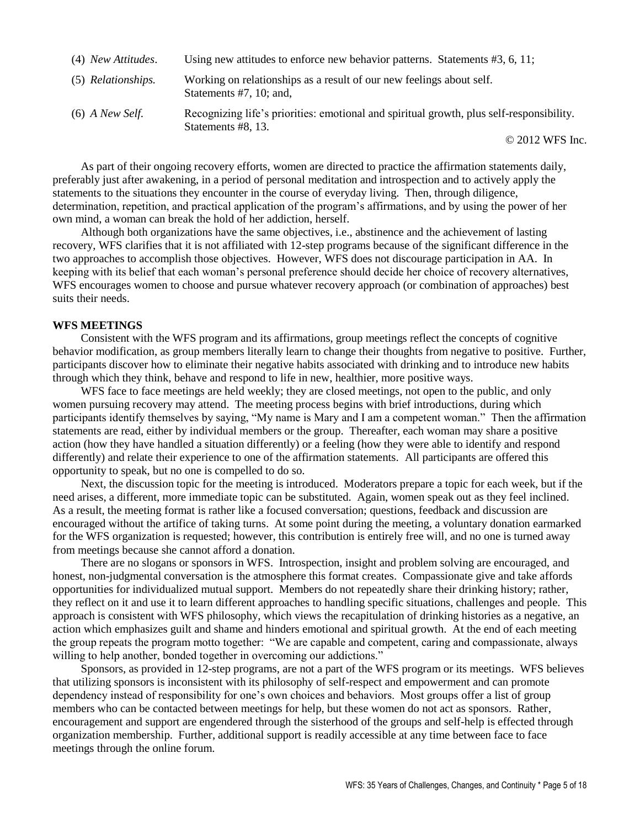| (4) New Attitudes. | Using new attitudes to enforce new behavior patterns. Statements $#3, 6, 11$ ;                                 |
|--------------------|----------------------------------------------------------------------------------------------------------------|
| (5) Relationships. | Working on relationships as a result of our new feelings about self.<br>Statements $#7$ , 10; and,             |
| $(6)$ A New Self.  | Recognizing life's priorities: emotional and spiritual growth, plus self-responsibility.<br>Statements #8, 13. |
|                    | $\sim$ $\sim$ $\sim$ $\sim$ $\sim$ $\sim$                                                                      |

© 2012 WFS Inc.

As part of their ongoing recovery efforts, women are directed to practice the affirmation statements daily, preferably just after awakening, in a period of personal meditation and introspection and to actively apply the statements to the situations they encounter in the course of everyday living. Then, through diligence, determination, repetition, and practical application of the program's affirmations, and by using the power of her own mind, a woman can break the hold of her addiction, herself.

Although both organizations have the same objectives, i.e., abstinence and the achievement of lasting recovery, WFS clarifies that it is not affiliated with 12-step programs because of the significant difference in the two approaches to accomplish those objectives. However, WFS does not discourage participation in AA. In keeping with its belief that each woman's personal preference should decide her choice of recovery alternatives, WFS encourages women to choose and pursue whatever recovery approach (or combination of approaches) best suits their needs.

#### **WFS MEETINGS**

Consistent with the WFS program and its affirmations, group meetings reflect the concepts of cognitive behavior modification, as group members literally learn to change their thoughts from negative to positive. Further, participants discover how to eliminate their negative habits associated with drinking and to introduce new habits through which they think, behave and respond to life in new, healthier, more positive ways.

WFS face to face meetings are held weekly; they are closed meetings, not open to the public, and only women pursuing recovery may attend. The meeting process begins with brief introductions, during which participants identify themselves by saying, "My name is Mary and I am a competent woman." Then the affirmation statements are read, either by individual members or the group. Thereafter, each woman may share a positive action (how they have handled a situation differently) or a feeling (how they were able to identify and respond differently) and relate their experience to one of the affirmation statements. All participants are offered this opportunity to speak, but no one is compelled to do so.

Next, the discussion topic for the meeting is introduced. Moderators prepare a topic for each week, but if the need arises, a different, more immediate topic can be substituted. Again, women speak out as they feel inclined. As a result, the meeting format is rather like a focused conversation; questions, feedback and discussion are encouraged without the artifice of taking turns. At some point during the meeting, a voluntary donation earmarked for the WFS organization is requested; however, this contribution is entirely free will, and no one is turned away from meetings because she cannot afford a donation.

There are no slogans or sponsors in WFS. Introspection, insight and problem solving are encouraged, and honest, non-judgmental conversation is the atmosphere this format creates. Compassionate give and take affords opportunities for individualized mutual support. Members do not repeatedly share their drinking history; rather, they reflect on it and use it to learn different approaches to handling specific situations, challenges and people. This approach is consistent with WFS philosophy, which views the recapitulation of drinking histories as a negative, an action which emphasizes guilt and shame and hinders emotional and spiritual growth. At the end of each meeting the group repeats the program motto together: "We are capable and competent, caring and compassionate, always willing to help another, bonded together in overcoming our addictions."

Sponsors, as provided in 12-step programs, are not a part of the WFS program or its meetings. WFS believes that utilizing sponsors is inconsistent with its philosophy of self-respect and empowerment and can promote dependency instead of responsibility for one's own choices and behaviors. Most groups offer a list of group members who can be contacted between meetings for help, but these women do not act as sponsors. Rather, encouragement and support are engendered through the sisterhood of the groups and self-help is effected through organization membership. Further, additional support is readily accessible at any time between face to face meetings through the online forum.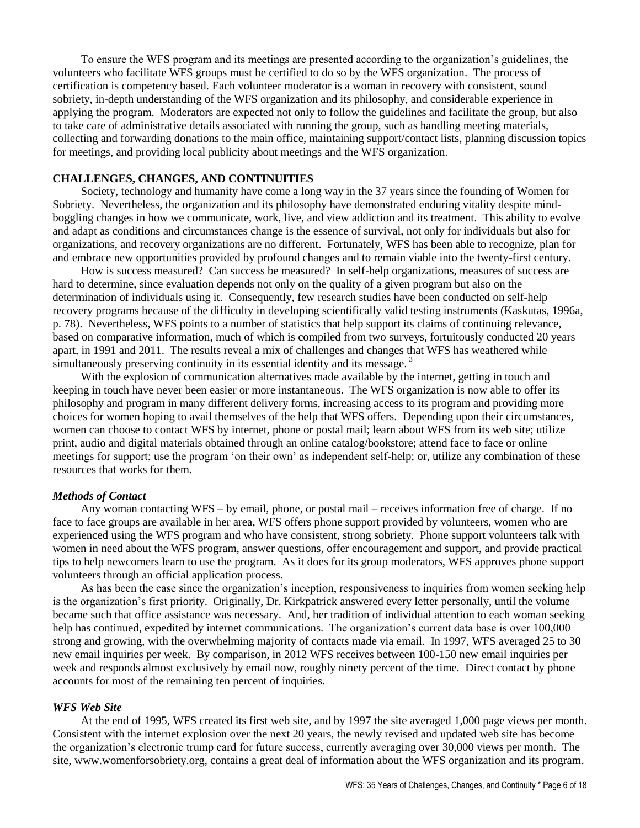To ensure the WFS program and its meetings are presented according to the organization's guidelines, the volunteers who facilitate WFS groups must be certified to do so by the WFS organization. The process of certification is competency based. Each volunteer moderator is a woman in recovery with consistent, sound sobriety, in-depth understanding of the WFS organization and its philosophy, and considerable experience in applying the program. Moderators are expected not only to follow the guidelines and facilitate the group, but also to take care of administrative details associated with running the group, such as handling meeting materials, collecting and forwarding donations to the main office, maintaining support/contact lists, planning discussion topics for meetings, and providing local publicity about meetings and the WFS organization.

## **CHALLENGES, CHANGES, AND CONTINUITIES**

Society, technology and humanity have come a long way in the 37 years since the founding of Women for Sobriety. Nevertheless, the organization and its philosophy have demonstrated enduring vitality despite mindboggling changes in how we communicate, work, live, and view addiction and its treatment. This ability to evolve and adapt as conditions and circumstances change is the essence of survival, not only for individuals but also for organizations, and recovery organizations are no different. Fortunately, WFS has been able to recognize, plan for and embrace new opportunities provided by profound changes and to remain viable into the twenty-first century.

How is success measured? Can success be measured? In self-help organizations, measures of success are hard to determine, since evaluation depends not only on the quality of a given program but also on the determination of individuals using it. Consequently, few research studies have been conducted on self-help recovery programs because of the difficulty in developing scientifically valid testing instruments (Kaskutas, 1996a, p. 78). Nevertheless, WFS points to a number of statistics that help support its claims of continuing relevance, based on comparative information, much of which is compiled from two surveys, fortuitously conducted 20 years apart, in 1991 and 2011. The results reveal a mix of challenges and changes that WFS has weathered while simultaneously preserving continuity in its essential identity and its message.<sup>3</sup>

With the explosion of communication alternatives made available by the internet, getting in touch and keeping in touch have never been easier or more instantaneous. The WFS organization is now able to offer its philosophy and program in many different delivery forms, increasing access to its program and providing more choices for women hoping to avail themselves of the help that WFS offers. Depending upon their circumstances, women can choose to contact WFS by internet, phone or postal mail; learn about WFS from its web site; utilize print, audio and digital materials obtained through an online catalog/bookstore; attend face to face or online meetings for support; use the program 'on their own' as independent self-help; or, utilize any combination of these resources that works for them.

#### *Methods of Contact*

Any woman contacting WFS – by email, phone, or postal mail – receives information free of charge. If no face to face groups are available in her area, WFS offers phone support provided by volunteers, women who are experienced using the WFS program and who have consistent, strong sobriety. Phone support volunteers talk with women in need about the WFS program, answer questions, offer encouragement and support, and provide practical tips to help newcomers learn to use the program. As it does for its group moderators, WFS approves phone support volunteers through an official application process.

As has been the case since the organization's inception, responsiveness to inquiries from women seeking help is the organization's first priority. Originally, Dr. Kirkpatrick answered every letter personally, until the volume became such that office assistance was necessary. And, her tradition of individual attention to each woman seeking help has continued, expedited by internet communications. The organization's current data base is over 100,000 strong and growing, with the overwhelming majority of contacts made via email. In 1997, WFS averaged 25 to 30 new email inquiries per week. By comparison, in 2012 WFS receives between 100-150 new email inquiries per week and responds almost exclusively by email now, roughly ninety percent of the time. Direct contact by phone accounts for most of the remaining ten percent of inquiries.

### *WFS Web Site*

At the end of 1995, WFS created its first web site, and by 1997 the site averaged 1,000 page views per month. Consistent with the internet explosion over the next 20 years, the newly revised and updated web site has become the organization's electronic trump card for future success, currently averaging over 30,000 views per month. The site, www.womenforsobriety.org, contains a great deal of information about the WFS organization and its program.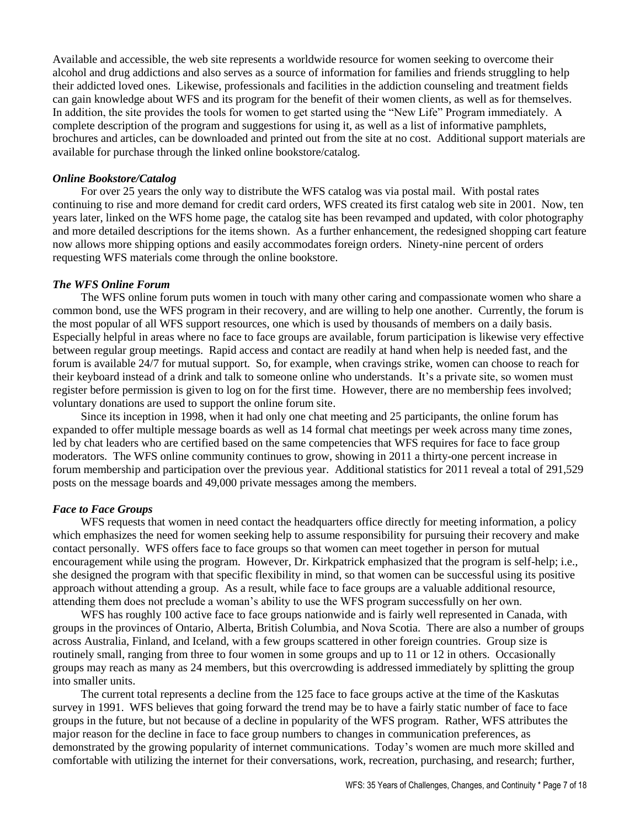Available and accessible, the web site represents a worldwide resource for women seeking to overcome their alcohol and drug addictions and also serves as a source of information for families and friends struggling to help their addicted loved ones. Likewise, professionals and facilities in the addiction counseling and treatment fields can gain knowledge about WFS and its program for the benefit of their women clients, as well as for themselves. In addition, the site provides the tools for women to get started using the "New Life" Program immediately. A complete description of the program and suggestions for using it, as well as a list of informative pamphlets, brochures and articles, can be downloaded and printed out from the site at no cost. Additional support materials are available for purchase through the linked online bookstore/catalog.

#### *Online Bookstore/Catalog*

For over 25 years the only way to distribute the WFS catalog was via postal mail. With postal rates continuing to rise and more demand for credit card orders, WFS created its first catalog web site in 2001. Now, ten years later, linked on the WFS home page, the catalog site has been revamped and updated, with color photography and more detailed descriptions for the items shown. As a further enhancement, the redesigned shopping cart feature now allows more shipping options and easily accommodates foreign orders. Ninety-nine percent of orders requesting WFS materials come through the online bookstore.

#### *The WFS Online Forum*

The WFS online forum puts women in touch with many other caring and compassionate women who share a common bond, use the WFS program in their recovery, and are willing to help one another. Currently, the forum is the most popular of all WFS support resources, one which is used by thousands of members on a daily basis. Especially helpful in areas where no face to face groups are available, forum participation is likewise very effective between regular group meetings. Rapid access and contact are readily at hand when help is needed fast, and the forum is available 24/7 for mutual support. So, for example, when cravings strike, women can choose to reach for their keyboard instead of a drink and talk to someone online who understands. It's a private site, so women must register before permission is given to log on for the first time. However, there are no membership fees involved; voluntary donations are used to support the online forum site.

Since its inception in 1998, when it had only one chat meeting and 25 participants, the online forum has expanded to offer multiple message boards as well as 14 formal chat meetings per week across many time zones, led by chat leaders who are certified based on the same competencies that WFS requires for face to face group moderators. The WFS online community continues to grow, showing in 2011 a thirty-one percent increase in forum membership and participation over the previous year. Additional statistics for 2011 reveal a total of 291,529 posts on the message boards and 49,000 private messages among the members.

### *Face to Face Groups*

WFS requests that women in need contact the headquarters office directly for meeting information, a policy which emphasizes the need for women seeking help to assume responsibility for pursuing their recovery and make contact personally. WFS offers face to face groups so that women can meet together in person for mutual encouragement while using the program. However, Dr. Kirkpatrick emphasized that the program is self-help; i.e., she designed the program with that specific flexibility in mind, so that women can be successful using its positive approach without attending a group. As a result, while face to face groups are a valuable additional resource, attending them does not preclude a woman's ability to use the WFS program successfully on her own.

WFS has roughly 100 active face to face groups nationwide and is fairly well represented in Canada, with groups in the provinces of Ontario, Alberta, British Columbia, and Nova Scotia. There are also a number of groups across Australia, Finland, and Iceland, with a few groups scattered in other foreign countries. Group size is routinely small, ranging from three to four women in some groups and up to 11 or 12 in others. Occasionally groups may reach as many as 24 members, but this overcrowding is addressed immediately by splitting the group into smaller units.

The current total represents a decline from the 125 face to face groups active at the time of the Kaskutas survey in 1991. WFS believes that going forward the trend may be to have a fairly static number of face to face groups in the future, but not because of a decline in popularity of the WFS program. Rather, WFS attributes the major reason for the decline in face to face group numbers to changes in communication preferences, as demonstrated by the growing popularity of internet communications. Today's women are much more skilled and comfortable with utilizing the internet for their conversations, work, recreation, purchasing, and research; further,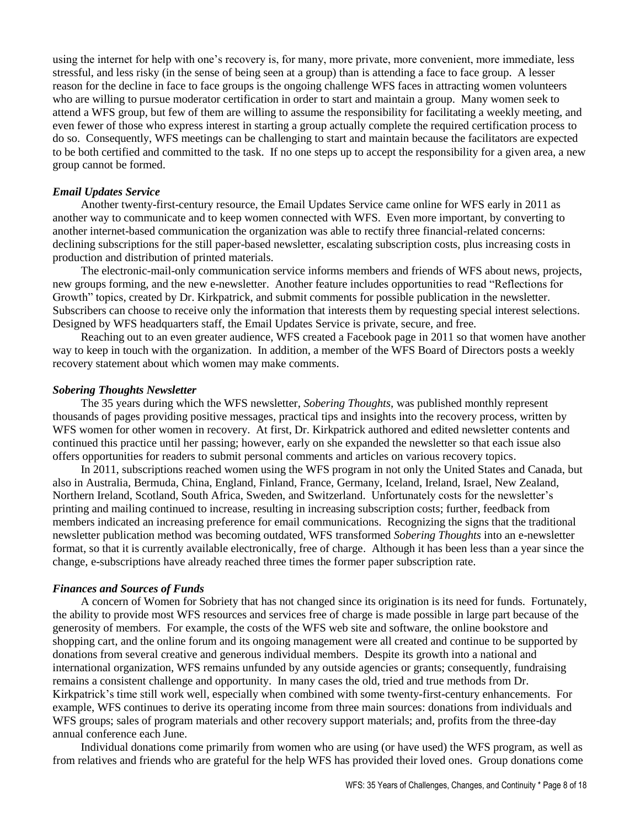using the internet for help with one's recovery is, for many, more private, more convenient, more immediate, less stressful, and less risky (in the sense of being seen at a group) than is attending a face to face group. A lesser reason for the decline in face to face groups is the ongoing challenge WFS faces in attracting women volunteers who are willing to pursue moderator certification in order to start and maintain a group. Many women seek to attend a WFS group, but few of them are willing to assume the responsibility for facilitating a weekly meeting, and even fewer of those who express interest in starting a group actually complete the required certification process to do so. Consequently, WFS meetings can be challenging to start and maintain because the facilitators are expected to be both certified and committed to the task. If no one steps up to accept the responsibility for a given area, a new group cannot be formed.

### *Email Updates Service*

Another twenty-first-century resource, the Email Updates Service came online for WFS early in 2011 as another way to communicate and to keep women connected with WFS. Even more important, by converting to another internet-based communication the organization was able to rectify three financial-related concerns: declining subscriptions for the still paper-based newsletter, escalating subscription costs, plus increasing costs in production and distribution of printed materials.

The electronic-mail-only communication service informs members and friends of WFS about news, projects, new groups forming, and the new e-newsletter. Another feature includes opportunities to read "Reflections for Growth" topics, created by Dr. Kirkpatrick, and submit comments for possible publication in the newsletter. Subscribers can choose to receive only the information that interests them by requesting special interest selections. Designed by WFS headquarters staff, the Email Updates Service is private, secure, and free.

Reaching out to an even greater audience, WFS created a Facebook page in 2011 so that women have another way to keep in touch with the organization. In addition, a member of the WFS Board of Directors posts a weekly recovery statement about which women may make comments.

#### *Sobering Thoughts Newsletter*

The 35 years during which the WFS newsletter, *Sobering Thoughts,* was published monthly represent thousands of pages providing positive messages, practical tips and insights into the recovery process, written by WFS women for other women in recovery. At first, Dr. Kirkpatrick authored and edited newsletter contents and continued this practice until her passing; however, early on she expanded the newsletter so that each issue also offers opportunities for readers to submit personal comments and articles on various recovery topics.

In 2011, subscriptions reached women using the WFS program in not only the United States and Canada, but also in Australia, Bermuda, China, England, Finland, France, Germany, Iceland, Ireland, Israel, New Zealand, Northern Ireland, Scotland, South Africa, Sweden, and Switzerland. Unfortunately costs for the newsletter's printing and mailing continued to increase, resulting in increasing subscription costs; further, feedback from members indicated an increasing preference for email communications. Recognizing the signs that the traditional newsletter publication method was becoming outdated, WFS transformed *Sobering Thoughts* into an e-newsletter format, so that it is currently available electronically, free of charge. Although it has been less than a year since the change, e-subscriptions have already reached three times the former paper subscription rate.

#### *Finances and Sources of Funds*

A concern of Women for Sobriety that has not changed since its origination is its need for funds. Fortunately, the ability to provide most WFS resources and services free of charge is made possible in large part because of the generosity of members. For example, the costs of the WFS web site and software, the online bookstore and shopping cart, and the online forum and its ongoing management were all created and continue to be supported by donations from several creative and generous individual members. Despite its growth into a national and international organization, WFS remains unfunded by any outside agencies or grants; consequently, fundraising remains a consistent challenge and opportunity. In many cases the old, tried and true methods from Dr. Kirkpatrick's time still work well, especially when combined with some twenty-first-century enhancements. For example, WFS continues to derive its operating income from three main sources: donations from individuals and WFS groups; sales of program materials and other recovery support materials; and, profits from the three-day annual conference each June.

Individual donations come primarily from women who are using (or have used) the WFS program, as well as from relatives and friends who are grateful for the help WFS has provided their loved ones. Group donations come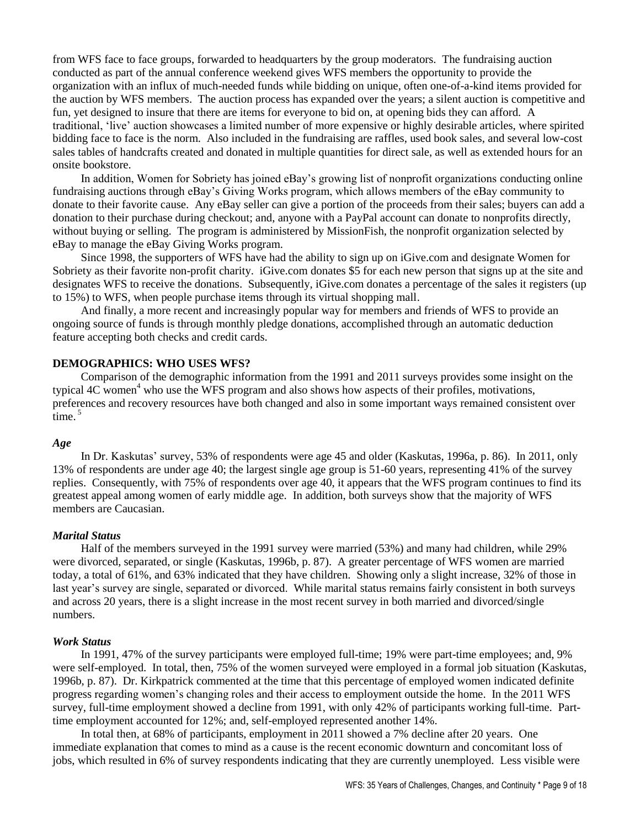from WFS face to face groups, forwarded to headquarters by the group moderators. The fundraising auction conducted as part of the annual conference weekend gives WFS members the opportunity to provide the organization with an influx of much-needed funds while bidding on unique, often one-of-a-kind items provided for the auction by WFS members. The auction process has expanded over the years; a silent auction is competitive and fun, yet designed to insure that there are items for everyone to bid on, at opening bids they can afford. A traditional, 'live' auction showcases a limited number of more expensive or highly desirable articles, where spirited bidding face to face is the norm. Also included in the fundraising are raffles, used book sales, and several low-cost sales tables of handcrafts created and donated in multiple quantities for direct sale, as well as extended hours for an onsite bookstore.

In addition, Women for Sobriety has joined eBay's growing list of nonprofit organizations conducting online fundraising auctions through eBay's Giving Works program, which allows members of the eBay community to donate to their favorite cause. Any eBay seller can give a portion of the proceeds from their sales; buyers can add a donation to their purchase during checkout; and, anyone with a PayPal account can donate to nonprofits directly, without buying or selling. The program is administered by MissionFish, the nonprofit organization selected by eBay to manage the eBay Giving Works program.

Since 1998, the supporters of WFS have had the ability to sign up on iGive.com and designate Women for Sobriety as their favorite non-profit charity. iGive.com donates \$5 for each new person that signs up at the site and designates WFS to receive the donations. Subsequently, iGive.com donates a percentage of the sales it registers (up to 15%) to WFS, when people purchase items through its virtual shopping mall.

And finally, a more recent and increasingly popular way for members and friends of WFS to provide an ongoing source of funds is through monthly pledge donations, accomplished through an automatic deduction feature accepting both checks and credit cards.

### **DEMOGRAPHICS: WHO USES WFS?**

Comparison of the demographic information from the 1991 and 2011 surveys provides some insight on the typical 4C women<sup>4</sup> who use the WFS program and also shows how aspects of their profiles, motivations, preferences and recovery resources have both changed and also in some important ways remained consistent over time. 5

#### *Age*

In Dr. Kaskutas' survey, 53% of respondents were age 45 and older (Kaskutas, 1996a, p. 86). In 2011, only 13% of respondents are under age 40; the largest single age group is 51-60 years, representing 41% of the survey replies. Consequently, with 75% of respondents over age 40, it appears that the WFS program continues to find its greatest appeal among women of early middle age. In addition, both surveys show that the majority of WFS members are Caucasian.

#### *Marital Status*

Half of the members surveyed in the 1991 survey were married (53%) and many had children, while 29% were divorced, separated, or single (Kaskutas, 1996b, p. 87). A greater percentage of WFS women are married today, a total of 61%, and 63% indicated that they have children. Showing only a slight increase, 32% of those in last year's survey are single, separated or divorced. While marital status remains fairly consistent in both surveys and across 20 years, there is a slight increase in the most recent survey in both married and divorced/single numbers.

#### *Work Status*

In 1991, 47% of the survey participants were employed full-time; 19% were part-time employees; and, 9% were self-employed. In total, then, 75% of the women surveyed were employed in a formal job situation (Kaskutas, 1996b, p. 87). Dr. Kirkpatrick commented at the time that this percentage of employed women indicated definite progress regarding women's changing roles and their access to employment outside the home. In the 2011 WFS survey, full-time employment showed a decline from 1991, with only 42% of participants working full-time. Parttime employment accounted for 12%; and, self-employed represented another 14%.

In total then, at 68% of participants, employment in 2011 showed a 7% decline after 20 years. One immediate explanation that comes to mind as a cause is the recent economic downturn and concomitant loss of jobs, which resulted in 6% of survey respondents indicating that they are currently unemployed. Less visible were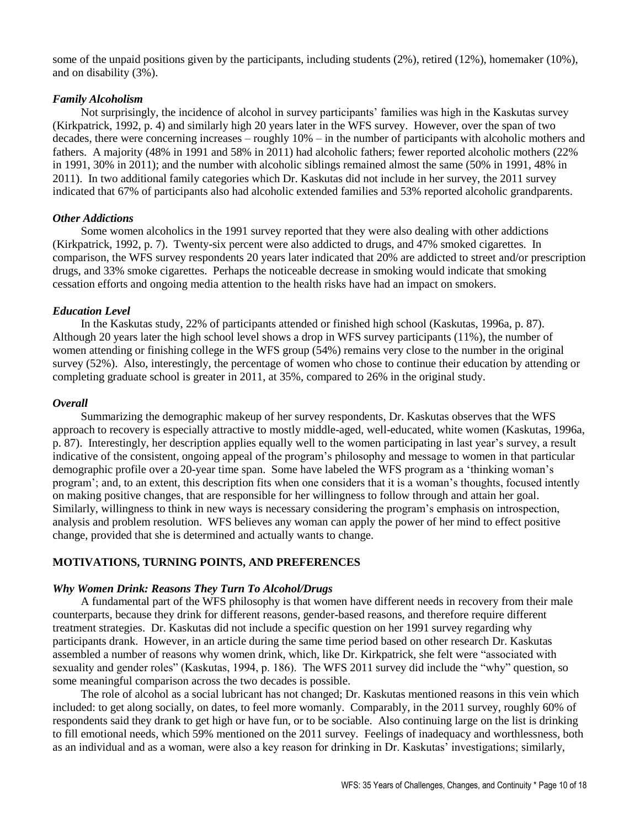some of the unpaid positions given by the participants, including students (2%), retired (12%), homemaker (10%), and on disability (3%).

### *Family Alcoholism*

Not surprisingly, the incidence of alcohol in survey participants' families was high in the Kaskutas survey (Kirkpatrick, 1992, p. 4) and similarly high 20 years later in the WFS survey. However, over the span of two decades, there were concerning increases – roughly 10% – in the number of participants with alcoholic mothers and fathers. A majority (48% in 1991 and 58% in 2011) had alcoholic fathers; fewer reported alcoholic mothers (22% in 1991, 30% in 2011); and the number with alcoholic siblings remained almost the same (50% in 1991, 48% in 2011). In two additional family categories which Dr. Kaskutas did not include in her survey, the 2011 survey indicated that 67% of participants also had alcoholic extended families and 53% reported alcoholic grandparents.

### *Other Addictions*

Some women alcoholics in the 1991 survey reported that they were also dealing with other addictions (Kirkpatrick, 1992, p. 7). Twenty-six percent were also addicted to drugs, and 47% smoked cigarettes. In comparison, the WFS survey respondents 20 years later indicated that 20% are addicted to street and/or prescription drugs, and 33% smoke cigarettes. Perhaps the noticeable decrease in smoking would indicate that smoking cessation efforts and ongoing media attention to the health risks have had an impact on smokers.

### *Education Level*

In the Kaskutas study, 22% of participants attended or finished high school (Kaskutas, 1996a, p. 87). Although 20 years later the high school level shows a drop in WFS survey participants (11%), the number of women attending or finishing college in the WFS group (54%) remains very close to the number in the original survey (52%). Also, interestingly, the percentage of women who chose to continue their education by attending or completing graduate school is greater in 2011, at 35%, compared to 26% in the original study.

### *Overall*

Summarizing the demographic makeup of her survey respondents, Dr. Kaskutas observes that the WFS approach to recovery is especially attractive to mostly middle-aged, well-educated, white women (Kaskutas, 1996a, p. 87). Interestingly, her description applies equally well to the women participating in last year's survey, a result indicative of the consistent, ongoing appeal of the program's philosophy and message to women in that particular demographic profile over a 20-year time span. Some have labeled the WFS program as a 'thinking woman's program'; and, to an extent, this description fits when one considers that it is a woman's thoughts, focused intently on making positive changes, that are responsible for her willingness to follow through and attain her goal. Similarly, willingness to think in new ways is necessary considering the program's emphasis on introspection, analysis and problem resolution. WFS believes any woman can apply the power of her mind to effect positive change, provided that she is determined and actually wants to change.

### **MOTIVATIONS, TURNING POINTS, AND PREFERENCES**

### *Why Women Drink: Reasons They Turn To Alcohol/Drugs*

A fundamental part of the WFS philosophy is that women have different needs in recovery from their male counterparts, because they drink for different reasons, gender-based reasons, and therefore require different treatment strategies. Dr. Kaskutas did not include a specific question on her 1991 survey regarding why participants drank. However, in an article during the same time period based on other research Dr. Kaskutas assembled a number of reasons why women drink, which, like Dr. Kirkpatrick, she felt were "associated with sexuality and gender roles" (Kaskutas, 1994, p. 186). The WFS 2011 survey did include the "why" question, so some meaningful comparison across the two decades is possible.

The role of alcohol as a social lubricant has not changed; Dr. Kaskutas mentioned reasons in this vein which included: to get along socially, on dates, to feel more womanly. Comparably, in the 2011 survey, roughly 60% of respondents said they drank to get high or have fun, or to be sociable. Also continuing large on the list is drinking to fill emotional needs, which 59% mentioned on the 2011 survey. Feelings of inadequacy and worthlessness, both as an individual and as a woman, were also a key reason for drinking in Dr. Kaskutas' investigations; similarly,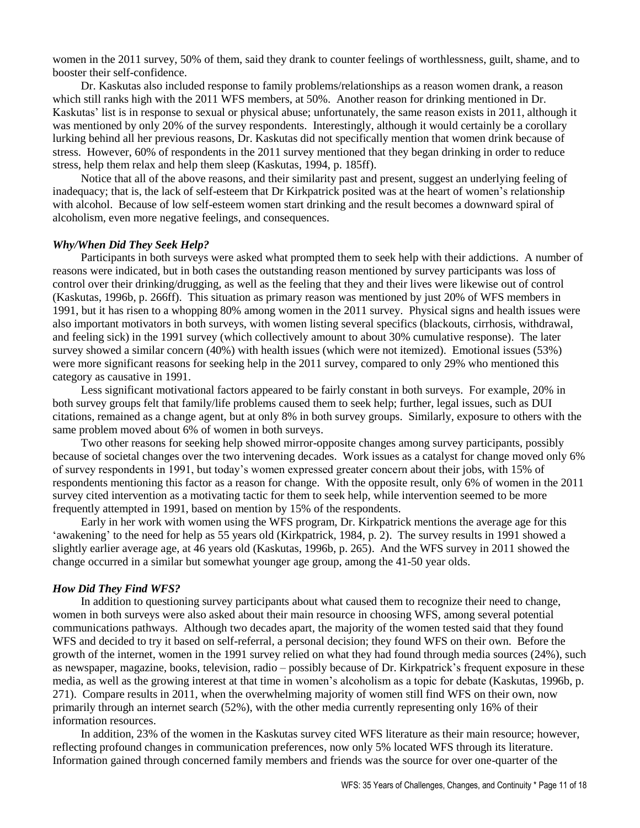women in the 2011 survey, 50% of them, said they drank to counter feelings of worthlessness, guilt, shame, and to booster their self-confidence.

Dr. Kaskutas also included response to family problems/relationships as a reason women drank, a reason which still ranks high with the 2011 WFS members, at 50%. Another reason for drinking mentioned in Dr. Kaskutas' list is in response to sexual or physical abuse; unfortunately, the same reason exists in 2011, although it was mentioned by only 20% of the survey respondents. Interestingly, although it would certainly be a corollary lurking behind all her previous reasons, Dr. Kaskutas did not specifically mention that women drink because of stress. However, 60% of respondents in the 2011 survey mentioned that they began drinking in order to reduce stress, help them relax and help them sleep (Kaskutas, 1994, p. 185ff).

Notice that all of the above reasons, and their similarity past and present, suggest an underlying feeling of inadequacy; that is, the lack of self-esteem that Dr Kirkpatrick posited was at the heart of women's relationship with alcohol. Because of low self-esteem women start drinking and the result becomes a downward spiral of alcoholism, even more negative feelings, and consequences.

### *Why/When Did They Seek Help?*

Participants in both surveys were asked what prompted them to seek help with their addictions. A number of reasons were indicated, but in both cases the outstanding reason mentioned by survey participants was loss of control over their drinking/drugging, as well as the feeling that they and their lives were likewise out of control (Kaskutas, 1996b, p. 266ff). This situation as primary reason was mentioned by just 20% of WFS members in 1991, but it has risen to a whopping 80% among women in the 2011 survey. Physical signs and health issues were also important motivators in both surveys, with women listing several specifics (blackouts, cirrhosis, withdrawal, and feeling sick) in the 1991 survey (which collectively amount to about 30% cumulative response). The later survey showed a similar concern (40%) with health issues (which were not itemized). Emotional issues (53%) were more significant reasons for seeking help in the 2011 survey, compared to only 29% who mentioned this category as causative in 1991.

Less significant motivational factors appeared to be fairly constant in both surveys. For example, 20% in both survey groups felt that family/life problems caused them to seek help; further, legal issues, such as DUI citations, remained as a change agent, but at only 8% in both survey groups. Similarly, exposure to others with the same problem moved about 6% of women in both surveys.

Two other reasons for seeking help showed mirror-opposite changes among survey participants, possibly because of societal changes over the two intervening decades. Work issues as a catalyst for change moved only 6% of survey respondents in 1991, but today's women expressed greater concern about their jobs, with 15% of respondents mentioning this factor as a reason for change. With the opposite result, only 6% of women in the 2011 survey cited intervention as a motivating tactic for them to seek help, while intervention seemed to be more frequently attempted in 1991, based on mention by 15% of the respondents.

Early in her work with women using the WFS program, Dr. Kirkpatrick mentions the average age for this 'awakening' to the need for help as 55 years old (Kirkpatrick, 1984, p. 2). The survey results in 1991 showed a slightly earlier average age, at 46 years old (Kaskutas, 1996b, p. 265). And the WFS survey in 2011 showed the change occurred in a similar but somewhat younger age group, among the 41-50 year olds.

#### *How Did They Find WFS?*

In addition to questioning survey participants about what caused them to recognize their need to change, women in both surveys were also asked about their main resource in choosing WFS, among several potential communications pathways. Although two decades apart, the majority of the women tested said that they found WFS and decided to try it based on self-referral, a personal decision; they found WFS on their own. Before the growth of the internet, women in the 1991 survey relied on what they had found through media sources (24%), such as newspaper, magazine, books, television, radio – possibly because of Dr. Kirkpatrick's frequent exposure in these media, as well as the growing interest at that time in women's alcoholism as a topic for debate (Kaskutas, 1996b, p. 271). Compare results in 2011, when the overwhelming majority of women still find WFS on their own, now primarily through an internet search (52%), with the other media currently representing only 16% of their information resources.

In addition, 23% of the women in the Kaskutas survey cited WFS literature as their main resource; however, reflecting profound changes in communication preferences, now only 5% located WFS through its literature. Information gained through concerned family members and friends was the source for over one-quarter of the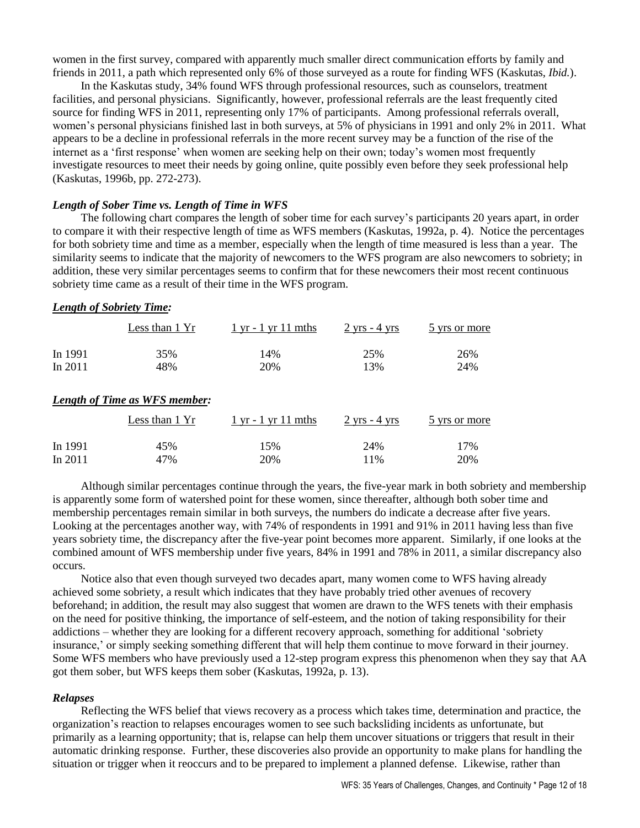women in the first survey, compared with apparently much smaller direct communication efforts by family and friends in 2011, a path which represented only 6% of those surveyed as a route for finding WFS (Kaskutas, *Ibid.*).

In the Kaskutas study, 34% found WFS through professional resources, such as counselors, treatment facilities, and personal physicians. Significantly, however, professional referrals are the least frequently cited source for finding WFS in 2011, representing only 17% of participants. Among professional referrals overall, women's personal physicians finished last in both surveys, at 5% of physicians in 1991 and only 2% in 2011. What appears to be a decline in professional referrals in the more recent survey may be a function of the rise of the internet as a 'first response' when women are seeking help on their own; today's women most frequently investigate resources to meet their needs by going online, quite possibly even before they seek professional help (Kaskutas, 1996b, pp. 272-273).

### *Length of Sober Time vs. Length of Time in WFS*

The following chart compares the length of sober time for each survey's participants 20 years apart, in order to compare it with their respective length of time as WFS members (Kaskutas, 1992a, p. 4). Notice the percentages for both sobriety time and time as a member, especially when the length of time measured is less than a year. The similarity seems to indicate that the majority of newcomers to the WFS program are also newcomers to sobriety; in addition, these very similar percentages seems to confirm that for these newcomers their most recent continuous sobriety time came as a result of their time in the WFS program.

#### *Length of Sobriety Time:*

|         | Less than 1 Yr | $1 \text{ yr} - 1 \text{ yr} 11 \text{ mths}$ | $2 \text{ yrs} - 4 \text{ yrs}$ | 5 yrs or more |
|---------|----------------|-----------------------------------------------|---------------------------------|---------------|
| In 1991 | 35%            | 14%                                           | 25%                             | 26%           |
| In 2011 | 48%            | 20%                                           | 13%                             | 24%           |

#### *Length of Time as WFS member:*

|           | Less than 1 Yr | $1 \text{ yr}$ - $1 \text{ yr}$ 11 mths | $2 \text{ yrs}$ - 4 yrs | 5 yrs or more |
|-----------|----------------|-----------------------------------------|-------------------------|---------------|
| In 1991   | 45%            | 15%                                     | 24%                     | 17%           |
| In $2011$ | 47%            | 20%                                     | $1\%$                   | 20%           |

Although similar percentages continue through the years, the five-year mark in both sobriety and membership is apparently some form of watershed point for these women, since thereafter, although both sober time and membership percentages remain similar in both surveys, the numbers do indicate a decrease after five years. Looking at the percentages another way, with 74% of respondents in 1991 and 91% in 2011 having less than five years sobriety time, the discrepancy after the five-year point becomes more apparent. Similarly, if one looks at the combined amount of WFS membership under five years, 84% in 1991 and 78% in 2011, a similar discrepancy also occurs.

Notice also that even though surveyed two decades apart, many women come to WFS having already achieved some sobriety, a result which indicates that they have probably tried other avenues of recovery beforehand; in addition, the result may also suggest that women are drawn to the WFS tenets with their emphasis on the need for positive thinking, the importance of self-esteem, and the notion of taking responsibility for their addictions – whether they are looking for a different recovery approach, something for additional 'sobriety insurance,' or simply seeking something different that will help them continue to move forward in their journey. Some WFS members who have previously used a 12-step program express this phenomenon when they say that AA got them sober, but WFS keeps them sober (Kaskutas, 1992a, p. 13).

#### *Relapses*

Reflecting the WFS belief that views recovery as a process which takes time, determination and practice, the organization's reaction to relapses encourages women to see such backsliding incidents as unfortunate, but primarily as a learning opportunity; that is, relapse can help them uncover situations or triggers that result in their automatic drinking response. Further, these discoveries also provide an opportunity to make plans for handling the situation or trigger when it reoccurs and to be prepared to implement a planned defense. Likewise, rather than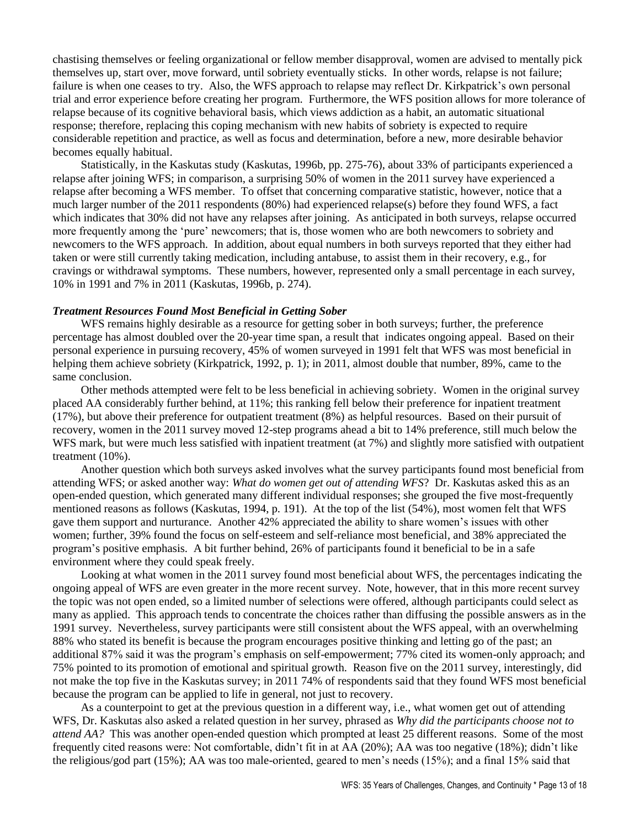chastising themselves or feeling organizational or fellow member disapproval, women are advised to mentally pick themselves up, start over, move forward, until sobriety eventually sticks. In other words, relapse is not failure; failure is when one ceases to try. Also, the WFS approach to relapse may reflect Dr. Kirkpatrick's own personal trial and error experience before creating her program. Furthermore, the WFS position allows for more tolerance of relapse because of its cognitive behavioral basis, which views addiction as a habit, an automatic situational response; therefore, replacing this coping mechanism with new habits of sobriety is expected to require considerable repetition and practice, as well as focus and determination, before a new, more desirable behavior becomes equally habitual.

Statistically, in the Kaskutas study (Kaskutas, 1996b, pp. 275-76), about 33% of participants experienced a relapse after joining WFS; in comparison, a surprising 50% of women in the 2011 survey have experienced a relapse after becoming a WFS member. To offset that concerning comparative statistic, however, notice that a much larger number of the 2011 respondents (80%) had experienced relapse(s) before they found WFS, a fact which indicates that 30% did not have any relapses after joining. As anticipated in both surveys, relapse occurred more frequently among the 'pure' newcomers; that is, those women who are both newcomers to sobriety and newcomers to the WFS approach. In addition, about equal numbers in both surveys reported that they either had taken or were still currently taking medication, including antabuse, to assist them in their recovery, e.g., for cravings or withdrawal symptoms. These numbers, however, represented only a small percentage in each survey, 10% in 1991 and 7% in 2011 (Kaskutas, 1996b, p. 274).

## *Treatment Resources Found Most Beneficial in Getting Sober*

WFS remains highly desirable as a resource for getting sober in both surveys; further, the preference percentage has almost doubled over the 20-year time span, a result that indicates ongoing appeal. Based on their personal experience in pursuing recovery, 45% of women surveyed in 1991 felt that WFS was most beneficial in helping them achieve sobriety (Kirkpatrick, 1992, p. 1); in 2011, almost double that number, 89%, came to the same conclusion.

Other methods attempted were felt to be less beneficial in achieving sobriety. Women in the original survey placed AA considerably further behind, at 11%; this ranking fell below their preference for inpatient treatment (17%), but above their preference for outpatient treatment (8%) as helpful resources. Based on their pursuit of recovery, women in the 2011 survey moved 12-step programs ahead a bit to 14% preference, still much below the WFS mark, but were much less satisfied with inpatient treatment (at 7%) and slightly more satisfied with outpatient treatment (10%).

Another question which both surveys asked involves what the survey participants found most beneficial from attending WFS; or asked another way: *What do women get out of attending WFS*? Dr. Kaskutas asked this as an open-ended question, which generated many different individual responses; she grouped the five most-frequently mentioned reasons as follows (Kaskutas, 1994, p. 191). At the top of the list (54%), most women felt that WFS gave them support and nurturance. Another 42% appreciated the ability to share women's issues with other women; further, 39% found the focus on self-esteem and self-reliance most beneficial, and 38% appreciated the program's positive emphasis. A bit further behind, 26% of participants found it beneficial to be in a safe environment where they could speak freely.

Looking at what women in the 2011 survey found most beneficial about WFS, the percentages indicating the ongoing appeal of WFS are even greater in the more recent survey. Note, however, that in this more recent survey the topic was not open ended, so a limited number of selections were offered, although participants could select as many as applied. This approach tends to concentrate the choices rather than diffusing the possible answers as in the 1991 survey. Nevertheless, survey participants were still consistent about the WFS appeal, with an overwhelming 88% who stated its benefit is because the program encourages positive thinking and letting go of the past; an additional 87% said it was the program's emphasis on self-empowerment; 77% cited its women-only approach; and 75% pointed to its promotion of emotional and spiritual growth. Reason five on the 2011 survey, interestingly, did not make the top five in the Kaskutas survey; in 2011 74% of respondents said that they found WFS most beneficial because the program can be applied to life in general, not just to recovery.

As a counterpoint to get at the previous question in a different way, i.e., what women get out of attending WFS, Dr. Kaskutas also asked a related question in her survey, phrased as *Why did the participants choose not to attend AA?* This was another open-ended question which prompted at least 25 different reasons. Some of the most frequently cited reasons were: Not comfortable, didn't fit in at AA (20%); AA was too negative (18%); didn't like the religious/god part (15%); AA was too male-oriented, geared to men's needs (15%); and a final 15% said that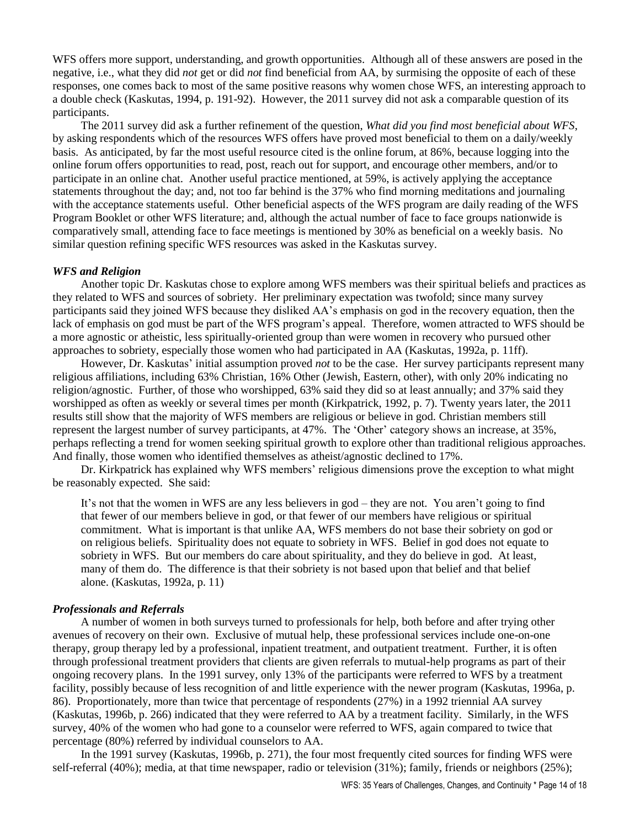WFS offers more support, understanding, and growth opportunities. Although all of these answers are posed in the negative, i.e., what they did *not* get or did *not* find beneficial from AA, by surmising the opposite of each of these responses, one comes back to most of the same positive reasons why women chose WFS, an interesting approach to a double check (Kaskutas, 1994, p. 191-92). However, the 2011 survey did not ask a comparable question of its participants.

The 2011 survey did ask a further refinement of the question, *What did you find most beneficial about WFS*, by asking respondents which of the resources WFS offers have proved most beneficial to them on a daily/weekly basis. As anticipated, by far the most useful resource cited is the online forum, at 86%, because logging into the online forum offers opportunities to read, post, reach out for support, and encourage other members, and/or to participate in an online chat. Another useful practice mentioned, at 59%, is actively applying the acceptance statements throughout the day; and, not too far behind is the 37% who find morning meditations and journaling with the acceptance statements useful. Other beneficial aspects of the WFS program are daily reading of the WFS Program Booklet or other WFS literature; and, although the actual number of face to face groups nationwide is comparatively small, attending face to face meetings is mentioned by 30% as beneficial on a weekly basis. No similar question refining specific WFS resources was asked in the Kaskutas survey.

### *WFS and Religion*

Another topic Dr. Kaskutas chose to explore among WFS members was their spiritual beliefs and practices as they related to WFS and sources of sobriety. Her preliminary expectation was twofold; since many survey participants said they joined WFS because they disliked AA's emphasis on god in the recovery equation, then the lack of emphasis on god must be part of the WFS program's appeal. Therefore, women attracted to WFS should be a more agnostic or atheistic, less spiritually-oriented group than were women in recovery who pursued other approaches to sobriety, especially those women who had participated in AA (Kaskutas, 1992a, p. 11ff).

However, Dr. Kaskutas' initial assumption proved *not* to be the case. Her survey participants represent many religious affiliations, including 63% Christian, 16% Other (Jewish, Eastern, other), with only 20% indicating no religion/agnostic. Further, of those who worshipped, 63% said they did so at least annually; and 37% said they worshipped as often as weekly or several times per month (Kirkpatrick, 1992, p. 7). Twenty years later, the 2011 results still show that the majority of WFS members are religious or believe in god. Christian members still represent the largest number of survey participants, at 47%. The 'Other' category shows an increase, at 35%, perhaps reflecting a trend for women seeking spiritual growth to explore other than traditional religious approaches. And finally, those women who identified themselves as atheist/agnostic declined to 17%.

Dr. Kirkpatrick has explained why WFS members' religious dimensions prove the exception to what might be reasonably expected. She said:

It's not that the women in WFS are any less believers in god – they are not. You aren't going to find that fewer of our members believe in god, or that fewer of our members have religious or spiritual commitment. What is important is that unlike AA, WFS members do not base their sobriety on god or on religious beliefs. Spirituality does not equate to sobriety in WFS. Belief in god does not equate to sobriety in WFS. But our members do care about spirituality, and they do believe in god. At least, many of them do. The difference is that their sobriety is not based upon that belief and that belief alone. (Kaskutas, 1992a, p. 11)

### *Professionals and Referrals*

A number of women in both surveys turned to professionals for help, both before and after trying other avenues of recovery on their own. Exclusive of mutual help, these professional services include one-on-one therapy, group therapy led by a professional, inpatient treatment, and outpatient treatment. Further, it is often through professional treatment providers that clients are given referrals to mutual-help programs as part of their ongoing recovery plans. In the 1991 survey, only 13% of the participants were referred to WFS by a treatment facility, possibly because of less recognition of and little experience with the newer program (Kaskutas, 1996a, p. 86). Proportionately, more than twice that percentage of respondents (27%) in a 1992 triennial AA survey (Kaskutas, 1996b, p. 266) indicated that they were referred to AA by a treatment facility. Similarly, in the WFS survey, 40% of the women who had gone to a counselor were referred to WFS, again compared to twice that percentage (80%) referred by individual counselors to AA.

In the 1991 survey (Kaskutas, 1996b, p. 271), the four most frequently cited sources for finding WFS were self-referral (40%); media, at that time newspaper, radio or television (31%); family, friends or neighbors (25%);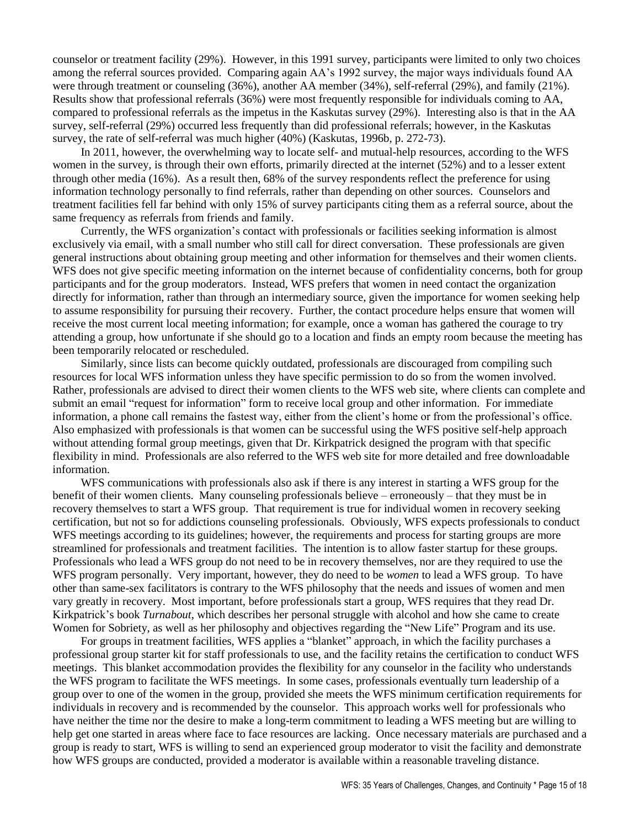counselor or treatment facility (29%). However, in this 1991 survey, participants were limited to only two choices among the referral sources provided. Comparing again AA's 1992 survey, the major ways individuals found AA were through treatment or counseling (36%), another AA member (34%), self-referral (29%), and family (21%). Results show that professional referrals (36%) were most frequently responsible for individuals coming to AA, compared to professional referrals as the impetus in the Kaskutas survey (29%). Interesting also is that in the AA survey, self-referral (29%) occurred less frequently than did professional referrals; however, in the Kaskutas survey, the rate of self-referral was much higher (40%) (Kaskutas, 1996b, p. 272-73).

In 2011, however, the overwhelming way to locate self- and mutual-help resources, according to the WFS women in the survey, is through their own efforts, primarily directed at the internet (52%) and to a lesser extent through other media (16%). As a result then, 68% of the survey respondents reflect the preference for using information technology personally to find referrals, rather than depending on other sources. Counselors and treatment facilities fell far behind with only 15% of survey participants citing them as a referral source, about the same frequency as referrals from friends and family.

Currently, the WFS organization's contact with professionals or facilities seeking information is almost exclusively via email, with a small number who still call for direct conversation. These professionals are given general instructions about obtaining group meeting and other information for themselves and their women clients. WFS does not give specific meeting information on the internet because of confidentiality concerns, both for group participants and for the group moderators. Instead, WFS prefers that women in need contact the organization directly for information, rather than through an intermediary source, given the importance for women seeking help to assume responsibility for pursuing their recovery. Further, the contact procedure helps ensure that women will receive the most current local meeting information; for example, once a woman has gathered the courage to try attending a group, how unfortunate if she should go to a location and finds an empty room because the meeting has been temporarily relocated or rescheduled.

Similarly, since lists can become quickly outdated, professionals are discouraged from compiling such resources for local WFS information unless they have specific permission to do so from the women involved. Rather, professionals are advised to direct their women clients to the WFS web site, where clients can complete and submit an email "request for information" form to receive local group and other information. For immediate information, a phone call remains the fastest way, either from the client's home or from the professional's office. Also emphasized with professionals is that women can be successful using the WFS positive self-help approach without attending formal group meetings, given that Dr. Kirkpatrick designed the program with that specific flexibility in mind. Professionals are also referred to the WFS web site for more detailed and free downloadable information.

WFS communications with professionals also ask if there is any interest in starting a WFS group for the benefit of their women clients. Many counseling professionals believe – erroneously – that they must be in recovery themselves to start a WFS group. That requirement is true for individual women in recovery seeking certification, but not so for addictions counseling professionals. Obviously, WFS expects professionals to conduct WFS meetings according to its guidelines; however, the requirements and process for starting groups are more streamlined for professionals and treatment facilities. The intention is to allow faster startup for these groups. Professionals who lead a WFS group do not need to be in recovery themselves, nor are they required to use the WFS program personally. Very important, however, they do need to be *women* to lead a WFS group. To have other than same-sex facilitators is contrary to the WFS philosophy that the needs and issues of women and men vary greatly in recovery. Most important, before professionals start a group, WFS requires that they read Dr. Kirkpatrick's book *Turnabout*, which describes her personal struggle with alcohol and how she came to create Women for Sobriety, as well as her philosophy and objectives regarding the "New Life" Program and its use.

For groups in treatment facilities, WFS applies a "blanket" approach, in which the facility purchases a professional group starter kit for staff professionals to use, and the facility retains the certification to conduct WFS meetings. This blanket accommodation provides the flexibility for any counselor in the facility who understands the WFS program to facilitate the WFS meetings. In some cases, professionals eventually turn leadership of a group over to one of the women in the group, provided she meets the WFS minimum certification requirements for individuals in recovery and is recommended by the counselor. This approach works well for professionals who have neither the time nor the desire to make a long-term commitment to leading a WFS meeting but are willing to help get one started in areas where face to face resources are lacking. Once necessary materials are purchased and a group is ready to start, WFS is willing to send an experienced group moderator to visit the facility and demonstrate how WFS groups are conducted, provided a moderator is available within a reasonable traveling distance.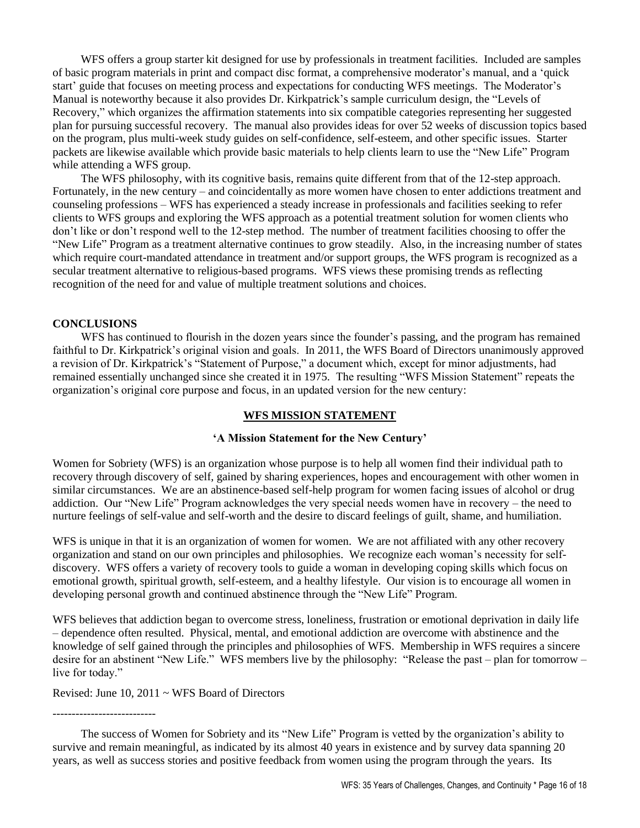WFS offers a group starter kit designed for use by professionals in treatment facilities. Included are samples of basic program materials in print and compact disc format, a comprehensive moderator's manual, and a 'quick start' guide that focuses on meeting process and expectations for conducting WFS meetings. The Moderator's Manual is noteworthy because it also provides Dr. Kirkpatrick's sample curriculum design, the "Levels of Recovery," which organizes the affirmation statements into six compatible categories representing her suggested plan for pursuing successful recovery. The manual also provides ideas for over 52 weeks of discussion topics based on the program, plus multi-week study guides on self-confidence, self-esteem, and other specific issues. Starter packets are likewise available which provide basic materials to help clients learn to use the "New Life" Program while attending a WFS group.

The WFS philosophy, with its cognitive basis, remains quite different from that of the 12-step approach. Fortunately, in the new century – and coincidentally as more women have chosen to enter addictions treatment and counseling professions – WFS has experienced a steady increase in professionals and facilities seeking to refer clients to WFS groups and exploring the WFS approach as a potential treatment solution for women clients who don't like or don't respond well to the 12-step method. The number of treatment facilities choosing to offer the "New Life" Program as a treatment alternative continues to grow steadily. Also, in the increasing number of states which require court-mandated attendance in treatment and/or support groups, the WFS program is recognized as a secular treatment alternative to religious-based programs. WFS views these promising trends as reflecting recognition of the need for and value of multiple treatment solutions and choices.

#### **CONCLUSIONS**

WFS has continued to flourish in the dozen years since the founder's passing, and the program has remained faithful to Dr. Kirkpatrick's original vision and goals. In 2011, the WFS Board of Directors unanimously approved a revision of Dr. Kirkpatrick's "Statement of Purpose," a document which, except for minor adjustments, had remained essentially unchanged since she created it in 1975. The resulting "WFS Mission Statement" repeats the organization's original core purpose and focus, in an updated version for the new century:

### **WFS MISSION STATEMENT**

#### **'A Mission Statement for the New Century'**

Women for Sobriety (WFS) is an organization whose purpose is to help all women find their individual path to recovery through discovery of self, gained by sharing experiences, hopes and encouragement with other women in similar circumstances. We are an abstinence-based self-help program for women facing issues of alcohol or drug addiction. Our "New Life" Program acknowledges the very special needs women have in recovery – the need to nurture feelings of self-value and self-worth and the desire to discard feelings of guilt, shame, and humiliation.

WFS is unique in that it is an organization of women for women. We are not affiliated with any other recovery organization and stand on our own principles and philosophies. We recognize each woman's necessity for selfdiscovery. WFS offers a variety of recovery tools to guide a woman in developing coping skills which focus on emotional growth, spiritual growth, self-esteem, and a healthy lifestyle. Our vision is to encourage all women in developing personal growth and continued abstinence through the "New Life" Program.

WFS believes that addiction began to overcome stress, loneliness, frustration or emotional deprivation in daily life – dependence often resulted. Physical, mental, and emotional addiction are overcome with abstinence and the knowledge of self gained through the principles and philosophies of WFS. Membership in WFS requires a sincere desire for an abstinent "New Life." WFS members live by the philosophy: "Release the past – plan for tomorrow – live for today."

Revised: June 10, 2011 ~ WFS Board of Directors

---------------------------

The success of Women for Sobriety and its "New Life" Program is vetted by the organization's ability to survive and remain meaningful, as indicated by its almost 40 years in existence and by survey data spanning 20 years, as well as success stories and positive feedback from women using the program through the years. Its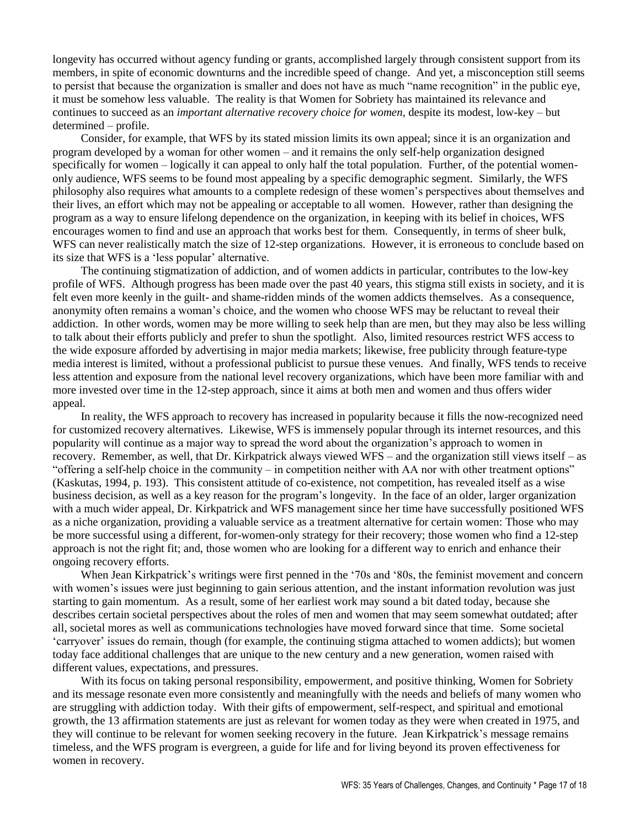longevity has occurred without agency funding or grants, accomplished largely through consistent support from its members, in spite of economic downturns and the incredible speed of change. And yet, a misconception still seems to persist that because the organization is smaller and does not have as much "name recognition" in the public eye, it must be somehow less valuable. The reality is that Women for Sobriety has maintained its relevance and continues to succeed as an *important alternative recovery choice for women*, despite its modest, low-key – but determined – profile.

Consider, for example, that WFS by its stated mission limits its own appeal; since it is an organization and program developed by a woman for other women – and it remains the only self-help organization designed specifically for women – logically it can appeal to only half the total population. Further, of the potential womenonly audience, WFS seems to be found most appealing by a specific demographic segment. Similarly, the WFS philosophy also requires what amounts to a complete redesign of these women's perspectives about themselves and their lives, an effort which may not be appealing or acceptable to all women. However, rather than designing the program as a way to ensure lifelong dependence on the organization, in keeping with its belief in choices, WFS encourages women to find and use an approach that works best for them. Consequently, in terms of sheer bulk, WFS can never realistically match the size of 12-step organizations. However, it is erroneous to conclude based on its size that WFS is a 'less popular' alternative.

The continuing stigmatization of addiction, and of women addicts in particular, contributes to the low-key profile of WFS. Although progress has been made over the past 40 years, this stigma still exists in society, and it is felt even more keenly in the guilt- and shame-ridden minds of the women addicts themselves. As a consequence, anonymity often remains a woman's choice, and the women who choose WFS may be reluctant to reveal their addiction. In other words, women may be more willing to seek help than are men, but they may also be less willing to talk about their efforts publicly and prefer to shun the spotlight. Also, limited resources restrict WFS access to the wide exposure afforded by advertising in major media markets; likewise, free publicity through feature-type media interest is limited, without a professional publicist to pursue these venues. And finally, WFS tends to receive less attention and exposure from the national level recovery organizations, which have been more familiar with and more invested over time in the 12-step approach, since it aims at both men and women and thus offers wider appeal.

In reality, the WFS approach to recovery has increased in popularity because it fills the now-recognized need for customized recovery alternatives. Likewise, WFS is immensely popular through its internet resources, and this popularity will continue as a major way to spread the word about the organization's approach to women in recovery. Remember, as well, that Dr. Kirkpatrick always viewed WFS – and the organization still views itself – as "offering a self-help choice in the community – in competition neither with AA nor with other treatment options" (Kaskutas, 1994, p. 193). This consistent attitude of co-existence, not competition, has revealed itself as a wise business decision, as well as a key reason for the program's longevity. In the face of an older, larger organization with a much wider appeal, Dr. Kirkpatrick and WFS management since her time have successfully positioned WFS as a niche organization, providing a valuable service as a treatment alternative for certain women: Those who may be more successful using a different, for-women-only strategy for their recovery; those women who find a 12-step approach is not the right fit; and, those women who are looking for a different way to enrich and enhance their ongoing recovery efforts.

When Jean Kirkpatrick's writings were first penned in the '70s and '80s, the feminist movement and concern with women's issues were just beginning to gain serious attention, and the instant information revolution was just starting to gain momentum. As a result, some of her earliest work may sound a bit dated today, because she describes certain societal perspectives about the roles of men and women that may seem somewhat outdated; after all, societal mores as well as communications technologies have moved forward since that time. Some societal 'carryover' issues do remain, though (for example, the continuing stigma attached to women addicts); but women today face additional challenges that are unique to the new century and a new generation, women raised with different values, expectations, and pressures.

With its focus on taking personal responsibility, empowerment, and positive thinking, Women for Sobriety and its message resonate even more consistently and meaningfully with the needs and beliefs of many women who are struggling with addiction today. With their gifts of empowerment, self-respect, and spiritual and emotional growth, the 13 affirmation statements are just as relevant for women today as they were when created in 1975, and they will continue to be relevant for women seeking recovery in the future. Jean Kirkpatrick's message remains timeless, and the WFS program is evergreen, a guide for life and for living beyond its proven effectiveness for women in recovery.